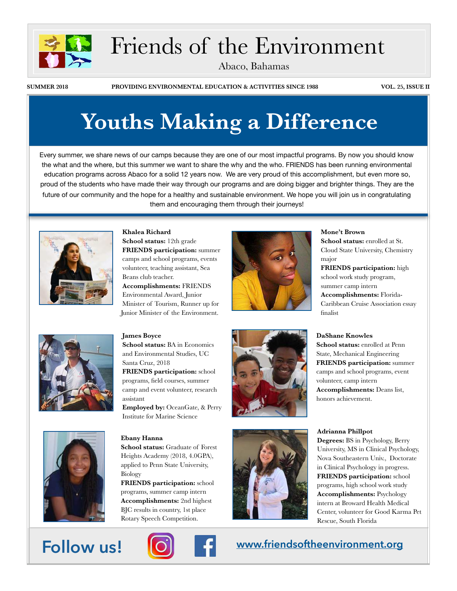

# Friends of the Environment

Abaco, Bahamas

**SUMMER 2018 PROVIDING ENVIRONMENTAL EDUCATION & ACTIVITIES SINCE 1988 VOL. 25, ISSUE II**

# **Youths Making a Difference**

Every summer, we share news of our camps because they are one of our most impactful programs. By now you should know the what and the where, but this summer we want to share the why and the who. FRIENDS has been running environmental education programs across Abaco for a solid 12 years now. We are very proud of this accomplishment, but even more so, proud of the students who have made their way through our programs and are doing bigger and brighter things. They are the future of our community and the hope for a healthy and sustainable environment. We hope you will join us in congratulating them and encouraging them through their journeys!



**Khalea Richard School status:** 12th grade **FRIENDS participation:** summer camps and school programs, events volunteer, teaching assistant, Sea Beans club teacher.

**Accomplishments:** FRIENDS Environmental Award, Junior Minister of Tourism, Runner up for Junior Minister of the Environment.



### **Mone't Brown**

**School status:** enrolled at St. Cloud State University, Chemistry major

**FRIENDS participation:** high school work study program, summer camp intern **Accomplishments:** Florida-Caribbean Cruise Association essay finalist



## **James Boyce School status:** BA in Economics and Environmental Studies, UC Santa Cruz, 2018

**FRIENDS participation:** school programs, field courses, summer camp and event volunteer, research assistant

**Employed by:** OceanGate, & Perry Institute for Marine Science

#### **Ebany Hanna**

**School status:** Graduate of Forest Heights Academy (2018, 4.0GPA), applied to Penn State University, Biology

**FRIENDS participation:** school programs, summer camp intern **Accomplishments:** 2nd highest BJC results in country, 1st place Rotary Speech Competition.





### **DaShane Knowles**

**School status:** enrolled at Penn State, Mechanical Engineering **FRIENDS participation:** summer camps and school programs, event volunteer, camp intern **Accomplishments:** Deans list, honors achievement.

#### **Adrianna Phillpot**

**Degrees:** BS in Psychology, Berry University, MS in Clinical Psychology, Nova Southeastern Univ., Doctorate in Clinical Psychology in progress. **FRIENDS participation:** school programs, high school work study **Accomplishments:** Psychology intern at Broward Health Medical Center, volunteer for Good Karma Pet Rescue, South Florida



## **Follow us! [www.friendsoftheenvironment.org](http://www.friendsoftheenvironment.org)**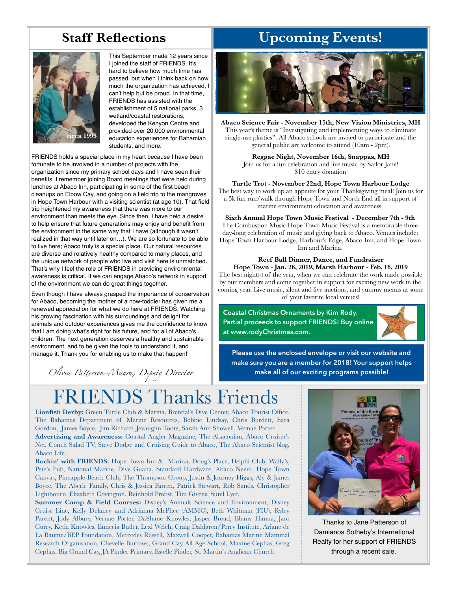## **Staff Reflections**



This September made 12 years since I joined the staff of FRIENDS. It's hard to believe how much time has passed, but when I think back on how much the organization has achieved, I can't help but be proud. In that time, FRIENDS has assisted with the establishment of 5 national parks, 3 wetland/coastal restorations, developed the Kenyon Centre and provided over 20,000 environmental education experiences for Bahamian students, and more.

FRIENDS holds a special place in my heart because I have been fortunate to be involved in a number of projects with the organization since my primary school days and I have seen their benefits. I remember joining Board meetings that were held during lunches at Abaco Inn, participating in some of the first beach cleanups on Elbow Cay, and going on a field trip to the mangroves in Hope Town Harbour with a visiting scientist (at age 10). That field trip heightened my awareness that there was more to our environment than meets the eye. Since then, I have held a desire to help ensure that future generations may enjoy and benefit from the environment in the same way that I have (although it wasn't realized in that way until later on…). We are so fortunate to be able to live here; Abaco truly is a special place. Our natural resources are diverse and relatively healthy compared to many places, and the unique network of people who live and visit here is unmatched. That's why I feel the role of FRIENDS in providing environmental awareness is critical. If we can engage Abaco's network in support of the environment we can do great things together.

Even though I have always grasped the importance of conservation for Abaco, becoming the mother of a now-toddler has given me a renewed appreciation for what we do here at FRIENDS. Watching his growing fascination with his surroundings and delight for animals and outdoor experiences gives me the confidence to know that I am doing what's right for his future, and for all of Abaco's children. The next generation deserves a healthy and sustainable environment, and to be given the tools to understand it, and manage it. Thank you for enabling us to make that happen!

*Olivia Pa*t*erson-Maura, Deputy Director*

# **Upcoming Events!**



**Abaco Science Fair - November 15th, New Vision Ministries, MH** This year's theme is "Investigating and implementing ways to eliminate single-use plastics". All Abaco schools are invited to participate and the general public are welcome to attend (10am - 2pm).

> **Reggae Night, November 16th, Snappas, MH**  Join us for a fun celebration and live music by Sailor Jane! \$10 entry donation

**Turtle Trot - November 22nd, Hope Town Harbour Lodge** The best way to work up an appetite for your Thanksgiving meal! Join us for a 5k fun run/walk through Hope Town and North End all in support of marine environment education and awareness!

**Sixth Annual Hope Town Music Festival - December 7th - 9th** The Combustion Music Hope Town Music Festival is a memorable threeday-long celebration of music and giving back to Abaco. Venues include: Hope Town Harbour Lodge, Harbour's Edge, Abaco Inn, and Hope Town Inn and Marina.

**Reef Ball Dinner, Dance, and Fundraiser Hope Town - Jan. 26, 2019, Marsh Harbour - Feb. 16, 2019**  The best night(s) of the year, when we can celebrate the work made possible by our members and come together in support for exciting new work in the coming year. Live music, silent and live auctions, and yummy menus at some of your favorite local venues!

**Coastal Christmas Ornaments by Kim Rody. Partial proceeds to support FRIENDS! Buy online at [www.rodyChristmas.com](http://www.rodyChristmas.com).**



**Please use the enclosed envelope or visit our website and make sure you are a member for 2018! Your support helps make all of our exciting programs possible!**

# FRIENDS Thanks Friends

**Lionfish Derby:** Green Turtle Club & Marina, Brendal's Dive Center, Abaco Tourist Office, The Bahamas Department of Marine Resources, Bobbie Lindsay, Chris Burdett, Sara Gordon, James Boyce, Jim Richard, Jevaughn Toote, Sarah Ann Showell, Vernae Porter **Advertising and Awareness:** Coastal Angler Magazine, The Abaconian, Abaco Cruiser's Net, Conch Salad TV, Steve Dodge and Cruising Guide to Abaco, The Abaco Scientist blog, Abaco Life.

**Rockin' with FRIENDS:** Hope Town Inn & Marina, Doug's Place, Delphi Club, Wally's, Pete's Pub, National Marine, Dive Guana, Standard Hardware, Abaco Neem, Hope Town Canvas, Pineapple Beach Club, The Thompson Group, Justin & Journey Higgs, Aly & James Boyce, The Aberle Family, Chris & Jessica Farren, Patrick Stewart, Rob Sands, Christopher Lightbourn, Elizabeth Covington, Reinhold Probst, Tim Givens, Sunil Lyer.

**Summer Camp & Field Courses:** Disney's Animals Science and Environment, Disney Cruise Line, Kelly Delancy and Adrianna McPhee (AMMC), Beth Whitman (FIU), Ryley Parent, Jody Albury, Vernae Porter, DaShane Knowles, Jasper Broad, Ebany Hanna, Jaro Curry, Ketia Knowles, Eunecia Butler, Lexi Welch, Craig Dahlgren/Perry Institute, Ariane de La Baume/BEP Foundation, Mercedes Russell, Maxwell Cooper, Bahamas Marine Mammal Research Organisation, Chevelle Burrows, Grand Cay All Age School, Maxine Cephas, Greg Cephas, Big Grand Cay, JA Pinder Primary, Estelle Pinder, St. Martin's Anglican Church



Thanks to Jane Patterson of Damianos Sotheby's International Realty for her support of FRIENDS through a recent sale.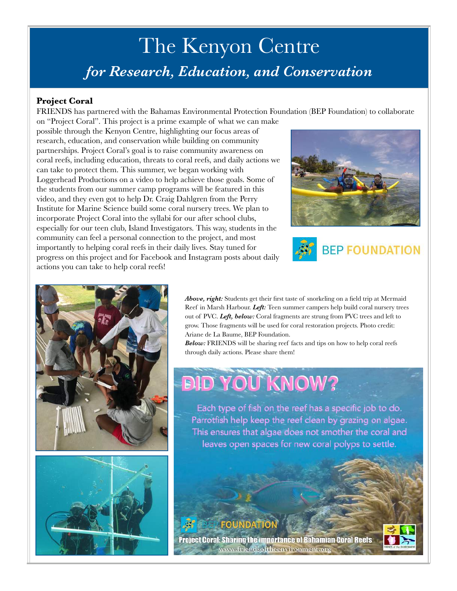# The Kenyon Centre *for Research, Education, and Conservation*

## **Project Coral**

FRIENDS has partnered with the Bahamas Environmental Protection Foundation (BEP Foundation) to collaborate on "Project Coral". This project is a prime example of what we can make

possible through the Kenyon Centre, highlighting our focus areas of research, education, and conservation while building on community partnerships. Project Coral's goal is to raise community awareness on coral reefs, including education, threats to coral reefs, and daily actions we can take to protect them. This summer, we began working with Loggerhead Productions on a video to help achieve those goals. Some of the students from our summer camp programs will be featured in this video, and they even got to help Dr. Craig Dahlgren from the Perry Institute for Marine Science build some coral nursery trees. We plan to incorporate Project Coral into the syllabi for our after school clubs, especially for our teen club, Island Investigators. This way, students in the community can feel a personal connection to the project, and most importantly to helping coral reefs in their daily lives. Stay tuned for progress on this project and for Facebook and Instagram posts about daily actions you can take to help coral reefs!









*Above, right:* Students get their first taste of snorkeling on a field trip at Mermaid Reef in Marsh Harbour. *Left:* Teen summer campers help build coral nursery trees out of PVC. *Left, below:* Coral fragments are strung from PVC trees and left to grow. Those fragments will be used for coral restoration projects. Photo credit: Ariane de La Baume, BEP Foundation.

*Below:* FRIENDS will be sharing reef facts and tips on how to help coral reefs through daily actions. Please share them!

# **BID YOU KNOW?**

Each type of fish on the reef has a specific job to do. Parrotfish help keep the reef clean by grazing on algae. This ensures that algae does not smother the coral and leaves open spaces for new coral polyps to settle.

## HOU

**Project Coral: Sharing the importance of Bahamian Coral Reefs** www.friendsoftheenvironment.org